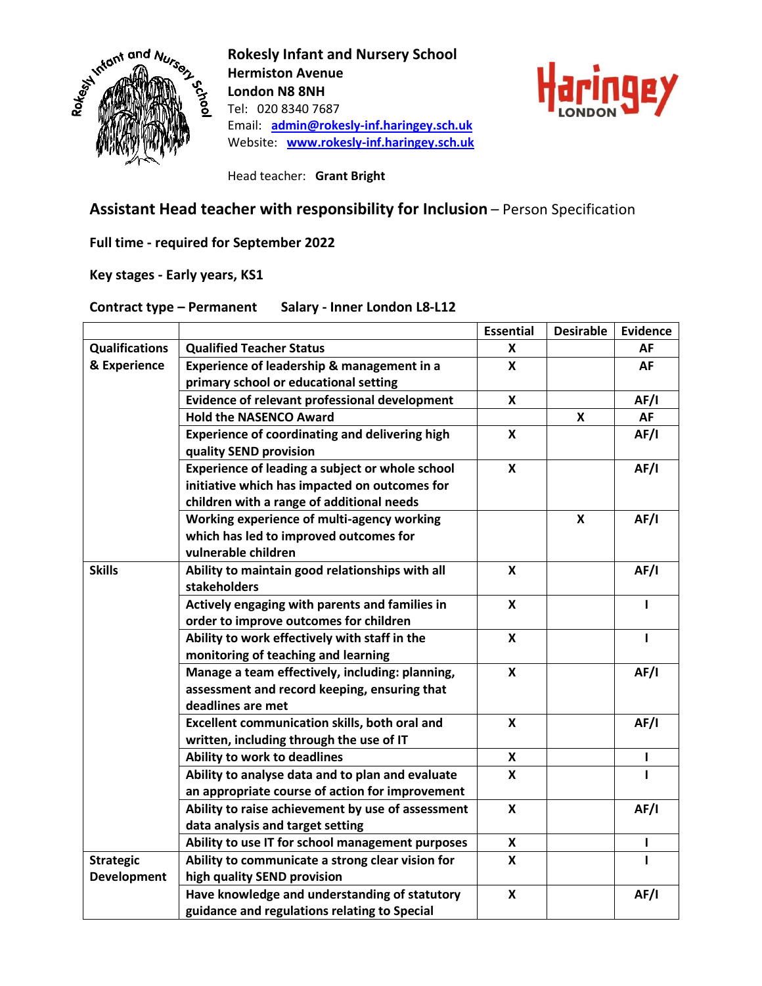

**Rokesly Infant and Nursery School Hermiston Avenue London N8 8NH** Tel: 020 8340 7687 Email: **[admin@rokesly-inf.haringey.sch.uk](mailto:admin@rokesly-inf.haringey.sch.uk)** Website: **[www.rokesly-inf.haringey.sch.uk](http://www.rokesly-inf.haringey.sch.uk/)**



Head teacher: **Grant Bright**

## **Assistant Head teacher with responsibility for Inclusion** – Person Specification

**Full time - required for September 2022**

**Key stages - Early years, KS1**

## **Contract type – Permanent Salary - Inner London L8-L12**

|                       |                                                       | <b>Essential</b>          | <b>Desirable</b> | <b>Evidence</b> |
|-----------------------|-------------------------------------------------------|---------------------------|------------------|-----------------|
| <b>Qualifications</b> | <b>Qualified Teacher Status</b>                       | X                         |                  | AF              |
| & Experience          | Experience of leadership & management in a            | X                         |                  | AF              |
|                       | primary school or educational setting                 |                           |                  |                 |
|                       | Evidence of relevant professional development         | $\boldsymbol{\mathsf{x}}$ |                  | AF/I            |
|                       | <b>Hold the NASENCO Award</b>                         |                           | X                | <b>AF</b>       |
|                       | <b>Experience of coordinating and delivering high</b> | $\boldsymbol{x}$          |                  | AF/I            |
|                       | quality SEND provision                                |                           |                  |                 |
|                       | Experience of leading a subject or whole school       | $\mathbf{x}$              |                  | AF/I            |
|                       | initiative which has impacted on outcomes for         |                           |                  |                 |
|                       | children with a range of additional needs             |                           |                  |                 |
|                       | Working experience of multi-agency working            |                           | X                | AF/I            |
|                       | which has led to improved outcomes for                |                           |                  |                 |
|                       | vulnerable children                                   |                           |                  |                 |
| <b>Skills</b>         | Ability to maintain good relationships with all       | X                         |                  | AF/I            |
|                       | stakeholders                                          |                           |                  |                 |
|                       | Actively engaging with parents and families in        | $\boldsymbol{x}$          |                  | ı               |
|                       | order to improve outcomes for children                |                           |                  |                 |
|                       | Ability to work effectively with staff in the         | $\boldsymbol{x}$          |                  | $\mathbf{I}$    |
|                       | monitoring of teaching and learning                   |                           |                  |                 |
|                       | Manage a team effectively, including: planning,       | $\boldsymbol{\mathsf{x}}$ |                  | AF/I            |
|                       | assessment and record keeping, ensuring that          |                           |                  |                 |
|                       | deadlines are met                                     |                           |                  |                 |
|                       | Excellent communication skills, both oral and         | X                         |                  | AF/I            |
|                       | written, including through the use of IT              |                           |                  |                 |
|                       | Ability to work to deadlines                          | X                         |                  | I               |
|                       | Ability to analyse data and to plan and evaluate      | X                         |                  | 1               |
|                       | an appropriate course of action for improvement       |                           |                  |                 |
|                       | Ability to raise achievement by use of assessment     | $\boldsymbol{\mathsf{x}}$ |                  | AF/I            |
|                       | data analysis and target setting                      |                           |                  |                 |
|                       | Ability to use IT for school management purposes      | X                         |                  | ı               |
| <b>Strategic</b>      | Ability to communicate a strong clear vision for      | $\boldsymbol{x}$          |                  | I               |
| <b>Development</b>    | high quality SEND provision                           |                           |                  |                 |
|                       | Have knowledge and understanding of statutory         | $\boldsymbol{\mathsf{x}}$ |                  | AF/I            |
|                       | guidance and regulations relating to Special          |                           |                  |                 |